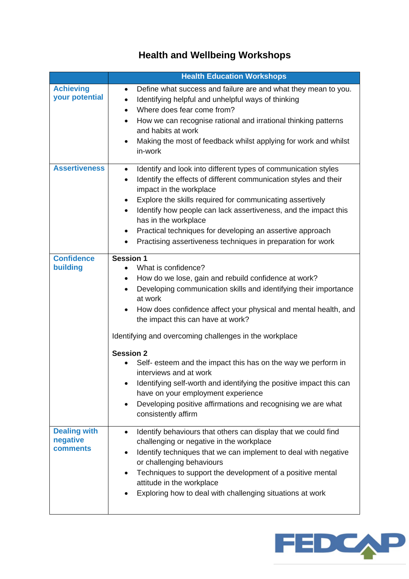## **Health and Wellbeing Workshops**

|                                                    | <b>Health Education Workshops</b>                                                                                                                                                                                                                                                                                                                                                                                                                                                                                               |
|----------------------------------------------------|---------------------------------------------------------------------------------------------------------------------------------------------------------------------------------------------------------------------------------------------------------------------------------------------------------------------------------------------------------------------------------------------------------------------------------------------------------------------------------------------------------------------------------|
| <b>Achieving</b><br>your potential                 | Define what success and failure are and what they mean to you.<br>$\bullet$<br>Identifying helpful and unhelpful ways of thinking<br>$\bullet$<br>Where does fear come from?<br>$\bullet$<br>How we can recognise rational and irrational thinking patterns<br>and habits at work<br>Making the most of feedback whilst applying for work and whilst<br>$\bullet$<br>in-work                                                                                                                                                    |
| <b>Assertiveness</b>                               | Identify and look into different types of communication styles<br>$\bullet$<br>Identify the effects of different communication styles and their<br>$\bullet$<br>impact in the workplace<br>Explore the skills required for communicating assertively<br>$\bullet$<br>Identify how people can lack assertiveness, and the impact this<br>$\bullet$<br>has in the workplace<br>Practical techniques for developing an assertive approach<br>$\bullet$<br>Practising assertiveness techniques in preparation for work<br>$\bullet$ |
| <b>Confidence</b><br>building                      | <b>Session 1</b><br>What is confidence?<br>$\bullet$<br>How do we lose, gain and rebuild confidence at work?<br>$\bullet$<br>Developing communication skills and identifying their importance<br>$\bullet$<br>at work<br>How does confidence affect your physical and mental health, and<br>$\bullet$<br>the impact this can have at work?<br>Identifying and overcoming challenges in the workplace                                                                                                                            |
|                                                    | <b>Session 2</b><br>Self- esteem and the impact this has on the way we perform in<br>interviews and at work<br>Identifying self-worth and identifying the positive impact this can<br>have on your employment experience<br>Developing positive affirmations and recognising we are what<br>$\bullet$<br>consistently affirm                                                                                                                                                                                                    |
| <b>Dealing with</b><br>negative<br><b>comments</b> | Identify behaviours that others can display that we could find<br>$\bullet$<br>challenging or negative in the workplace<br>Identify techniques that we can implement to deal with negative<br>$\bullet$<br>or challenging behaviours<br>Techniques to support the development of a positive mental<br>$\bullet$<br>attitude in the workplace<br>Exploring how to deal with challenging situations at work                                                                                                                       |

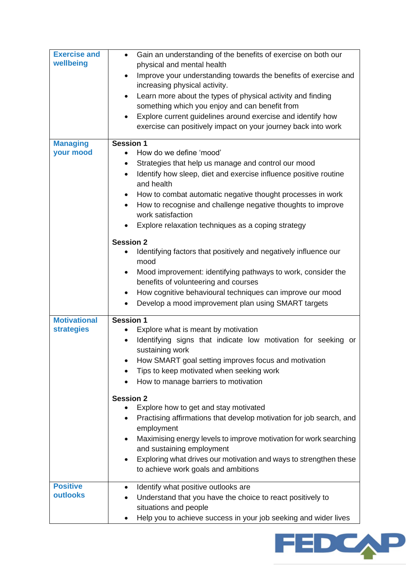| <b>Exercise and</b><br>wellbeing         | Gain an understanding of the benefits of exercise on both our<br>$\bullet$<br>physical and mental health<br>Improve your understanding towards the benefits of exercise and<br>$\bullet$<br>increasing physical activity.<br>Learn more about the types of physical activity and finding<br>$\bullet$<br>something which you enjoy and can benefit from<br>Explore current guidelines around exercise and identify how<br>$\bullet$<br>exercise can positively impact on your journey back into work                                                                                            |
|------------------------------------------|-------------------------------------------------------------------------------------------------------------------------------------------------------------------------------------------------------------------------------------------------------------------------------------------------------------------------------------------------------------------------------------------------------------------------------------------------------------------------------------------------------------------------------------------------------------------------------------------------|
| <b>Managing</b><br>your mood             | Session 1<br>How do we define 'mood'<br>$\bullet$<br>Strategies that help us manage and control our mood<br>$\bullet$<br>Identify how sleep, diet and exercise influence positive routine<br>$\bullet$<br>and health<br>How to combat automatic negative thought processes in work<br>$\bullet$<br>How to recognise and challenge negative thoughts to improve<br>$\bullet$<br>work satisfaction<br>Explore relaxation techniques as a coping strategy                                                                                                                                          |
|                                          | <b>Session 2</b><br>Identifying factors that positively and negatively influence our<br>$\bullet$<br>mood<br>Mood improvement: identifying pathways to work, consider the<br>$\bullet$<br>benefits of volunteering and courses<br>How cognitive behavioural techniques can improve our mood<br>$\bullet$<br>Develop a mood improvement plan using SMART targets                                                                                                                                                                                                                                 |
| <b>Motivational</b><br><b>strategies</b> | <b>Session 1</b><br>Explore what is meant by motivation<br>$\bullet$<br>Identifying signs that indicate low motivation for seeking or<br>$\bullet$<br>sustaining work<br>How SMART goal setting improves focus and motivation<br>Tips to keep motivated when seeking work<br>How to manage barriers to motivation<br><b>Session 2</b><br>Explore how to get and stay motivated<br>Practising affirmations that develop motivation for job search, and<br>$\bullet$<br>employment<br>Maximising energy levels to improve motivation for work searching<br>$\bullet$<br>and sustaining employment |
|                                          | Exploring what drives our motivation and ways to strengthen these<br>to achieve work goals and ambitions                                                                                                                                                                                                                                                                                                                                                                                                                                                                                        |
| <b>Positive</b><br><b>outlooks</b>       | Identify what positive outlooks are<br>$\bullet$<br>Understand that you have the choice to react positively to<br>situations and people<br>Help you to achieve success in your job seeking and wider lives                                                                                                                                                                                                                                                                                                                                                                                      |

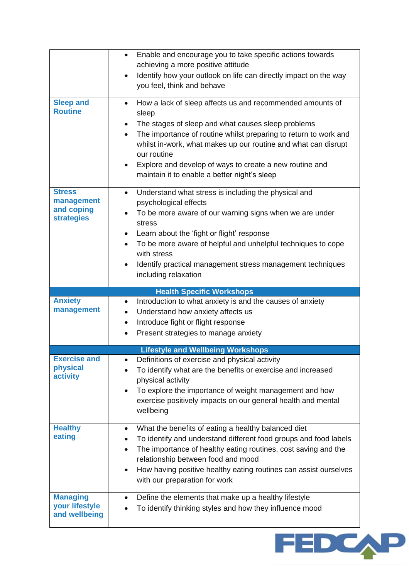|                                                                | Enable and encourage you to take specific actions towards<br>$\bullet$<br>achieving a more positive attitude<br>Identify how your outlook on life can directly impact on the way<br>$\bullet$<br>you feel, think and behave                                                                                                                                                                                                     |
|----------------------------------------------------------------|---------------------------------------------------------------------------------------------------------------------------------------------------------------------------------------------------------------------------------------------------------------------------------------------------------------------------------------------------------------------------------------------------------------------------------|
| <b>Sleep and</b><br><b>Routine</b>                             | How a lack of sleep affects us and recommended amounts of<br>$\bullet$<br>sleep<br>The stages of sleep and what causes sleep problems<br>$\bullet$<br>The importance of routine whilst preparing to return to work and<br>whilst in-work, what makes up our routine and what can disrupt<br>our routine<br>Explore and develop of ways to create a new routine and<br>$\bullet$<br>maintain it to enable a better night's sleep |
| <b>Stress</b><br>management<br>and coping<br><b>strategies</b> | Understand what stress is including the physical and<br>$\bullet$<br>psychological effects<br>To be more aware of our warning signs when we are under<br>stress<br>Learn about the 'fight or flight' response<br>$\bullet$<br>To be more aware of helpful and unhelpful techniques to cope<br>$\bullet$<br>with stress<br>Identify practical management stress management techniques<br>$\bullet$<br>including relaxation       |
|                                                                | <b>Health Specific Workshops</b>                                                                                                                                                                                                                                                                                                                                                                                                |
| <b>Anxiety</b><br>management                                   | Introduction to what anxiety is and the causes of anxiety<br>$\bullet$<br>Understand how anxiety affects us<br>$\bullet$<br>Introduce fight or flight response<br>$\bullet$<br>Present strategies to manage anxiety<br>$\bullet$                                                                                                                                                                                                |
|                                                                | <b>Lifestyle and Wellbeing Workshops</b>                                                                                                                                                                                                                                                                                                                                                                                        |
| <b>Exercise and</b>                                            | Definitions of exercise and physical activity<br>$\bullet$                                                                                                                                                                                                                                                                                                                                                                      |
| physical<br>activity                                           | To identify what are the benefits or exercise and increased<br>physical activity<br>To explore the importance of weight management and how<br>$\bullet$<br>exercise positively impacts on our general health and mental<br>wellbeing                                                                                                                                                                                            |
| <b>Healthy</b><br>eating                                       | What the benefits of eating a healthy balanced diet<br>$\bullet$<br>To identify and understand different food groups and food labels<br>$\bullet$<br>The importance of healthy eating routines, cost saving and the<br>$\bullet$<br>relationship between food and mood<br>How having positive healthy eating routines can assist ourselves<br>$\bullet$<br>with our preparation for work                                        |

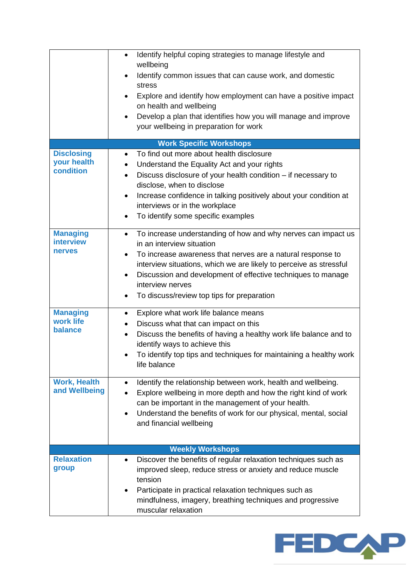|                                                      | Identify helpful coping strategies to manage lifestyle and<br>$\bullet$<br>wellbeing<br>Identify common issues that can cause work, and domestic<br>stress<br>Explore and identify how employment can have a positive impact<br>on health and wellbeing<br>Develop a plan that identifies how you will manage and improve<br>$\bullet$<br>your wellbeing in preparation for work         |
|------------------------------------------------------|------------------------------------------------------------------------------------------------------------------------------------------------------------------------------------------------------------------------------------------------------------------------------------------------------------------------------------------------------------------------------------------|
|                                                      | <b>Work Specific Workshops</b>                                                                                                                                                                                                                                                                                                                                                           |
| <b>Disclosing</b><br>your health<br>condition        | To find out more about health disclosure<br>$\bullet$<br>Understand the Equality Act and your rights<br>$\bullet$<br>Discuss disclosure of your health condition - if necessary to<br>disclose, when to disclose<br>Increase confidence in talking positively about your condition at<br>interviews or in the workplace<br>To identify some specific examples                            |
| <b>Managing</b><br><b>interview</b><br><b>nerves</b> | To increase understanding of how and why nerves can impact us<br>$\bullet$<br>in an interview situation<br>To increase awareness that nerves are a natural response to<br>٠<br>interview situations, which we are likely to perceive as stressful<br>Discussion and development of effective techniques to manage<br>٠<br>interview nerves<br>To discuss/review top tips for preparation |
| <b>Managing</b><br>work life<br>balance              | Explore what work life balance means<br>٠<br>Discuss what that can impact on this<br>Discuss the benefits of having a healthy work life balance and to<br>$\bullet$<br>identify ways to achieve this<br>To identify top tips and techniques for maintaining a healthy work<br>life balance                                                                                               |
| <b>Work, Health</b><br>and Wellbeing                 | Identify the relationship between work, health and wellbeing.<br>Explore wellbeing in more depth and how the right kind of work<br>can be important in the management of your health.<br>Understand the benefits of work for our physical, mental, social<br>and financial wellbeing                                                                                                     |
|                                                      | <b>Weekly Workshops</b>                                                                                                                                                                                                                                                                                                                                                                  |
| <b>Relaxation</b><br>group                           | Discover the benefits of regular relaxation techniques such as<br>improved sleep, reduce stress or anxiety and reduce muscle<br>tension<br>Participate in practical relaxation techniques such as<br>mindfulness, imagery, breathing techniques and progressive<br>muscular relaxation                                                                                                   |